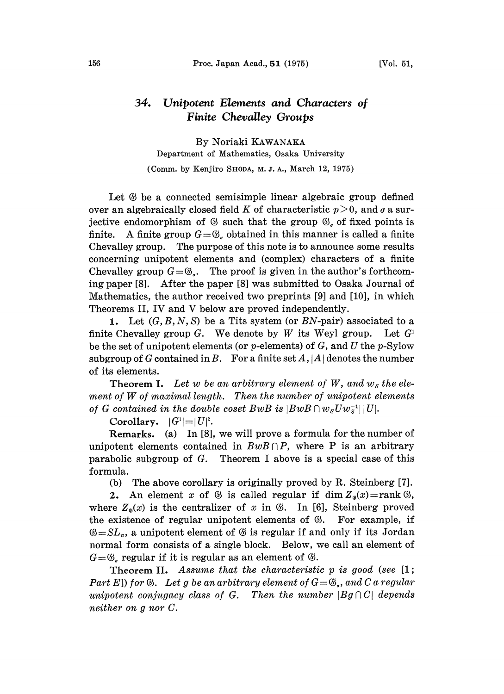## 34. Unipotent Elements and Characters of Finite Chevalley Groups

By Noriaki KAWANAKA Department of Mathematics, Osaka University (Comm. by Kenjiro SHODA, M. J. A., March 12, 1975)

Let  $\mathcal G$  be a connected semisimple linear algebraic group defined over an algebraically closed field K of characteristic  $p > 0$ , and  $\sigma$  a surjective endomorphism of  $\mathfrak G$  such that the group  $\mathfrak G_a$  of fixed points is finite. A finite group  $G = \mathcal{G}_{\sigma}$  obtained in this manner is called a finite Chevalley group. The purpose of this note is to announce some results concerning unipotent elements and (complex) characters of a finite Chevalley group  $G=\mathfrak{G}_r$ . The proof is given in the author's forthcoming paper [8]. After the paper [8] was submitted to Osaka Journal of Mathematics, the author received two preprints [9] and [10], in which Theorems II, IV and V below are proved independently.

1. Let  $(G, B, N, S)$  be a Tits system (or BN-pair) associated to a finite Chevalley group  $G$ . We denote by W its Weyl group. Let  $G<sup>T</sup>$ be the set of unipotent elements (or  $p$ -elements) of  $G$ , and  $U$  the  $p$ -Sylow subgroup of G contained in B. For a finite set  $A, |A|$  denotes the number of its elements.

**Theorem I.** Let w be an arbitrary element of W, and  $w_s$  the element of W of maximal length. Then the number of unipotent elements of G contained in the double coset BwB is  $|BwB \cap w_{S}Uw_{S}^{-1}| |U|$ .

Corollary.  $|G^1| = |U|^2$ .

Remarks. (a) In [8], we will prove a formula for the number of unipotent elements contained in  $BwB\cap P$ , where P is an arbitrary parabolic subgroup of  $G$ . Theorem I above is a special case of this formula.

(b) The above corollary is originally proved by R. Steinberg [7].

2. An element x of  $\otimes$  is called regular if dim  $Z_{\circ}(x) = \text{rank } \circledS$ , where  $Z_{\alpha}(x)$  is the centralizer of x in  $\mathfrak{G}$ . In [6], Steinberg proved the existence of regular unipotent elements of  $\mathcal{B}$ . For example, if  $\mathcal{B}=SL_n$ , a unipotent element of  $\mathcal B$  is regular if and only if its Jordan normal form consists of a single block. Below, we call an element of  $G=\mathfrak{G}_r$  regular if it is regular as an element of  $\mathfrak{G}$ .

Theorem II. Assume that the characteristic  $p$  is good (see  $[1;$ Part E]) for  $\Im$ . Let g be an arbitrary element of  $G=\mathfrak{G}_q$ , and C a regular unipotent conjugacy class of G. Then the number  $|Bg \cap C|$  depends neither on g nor C.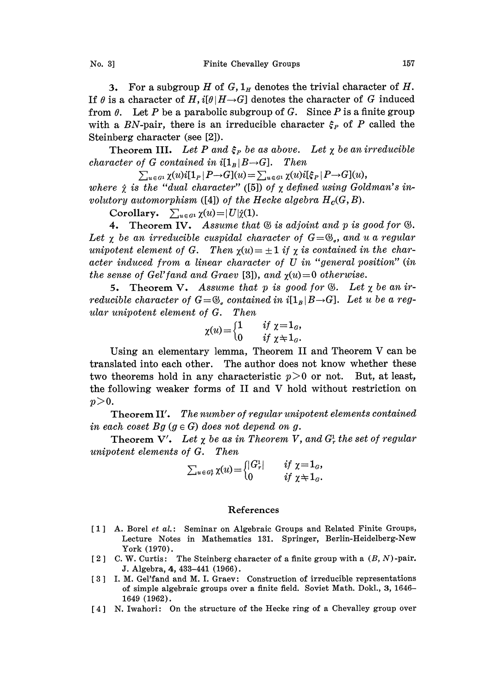3. For a subgroup H of  $G, 1<sub>H</sub>$  denotes the trivial character of H. If  $\theta$  is a character of H, i[ $\theta$ |H $\rightarrow$ G] denotes the character of G induced from  $\theta$ . Let P be a parabolic subgroup of G. Since P is a finite group with a BN-pair, there is an irreducible character  $\xi_P$  of P called the Steinberg character (see [2]).

Theorem III. Let P and  $\xi_P$  be as above. Let  $\chi$  be an irreducible character of G contained in  $i[1_B|B\rightarrow G]$ . Then

 $\sum_{u \in G^1} \chi(u) i[1_P | P \rightarrow G](u) = \sum_{u \in G^1} \chi(u) i[\xi_P | P \rightarrow G](u),$ where  $\hat{\gamma}$  is the "dual character" ([5]) of  $\chi$  defined using Goldman's involutory automorphism ([4]) of the Hecke algebra  $H_c(G, B)$ .

Corollary.  $\sum_{u \in G_1} \chi(u) = |U|\hat{\chi}(1)$ .

4. Theorem IV. Assume that  $\mathfrak G$  is adjoint and p is good for  $\mathfrak G$ . Let  $\chi$  be an irreducible cuspidal character of  $G=\mathfrak{G}_{\sigma}$ , and u a regular unipotent element of G. Then  $\chi(u)=\pm 1$  if  $\chi$  is contained in the character induced from <sup>a</sup> linear character of U in "general position" (in the sense of Gel'fand and Graev [3]), and  $\chi(u)=0$  otherwise.

5. Theorem V. Assume that p is good for  $\mathcal{B}$ . Let  $\chi$  be an irreducible character of  $G=\mathfrak{G}_\sigma$  contained in  $i[1_B|B\rightarrow G]$ . Let u be a regular unipotent element of G. Then

$$
\chi(u) = \begin{cases} 1 & \text{if } \chi = 1_a, \\ 0 & \text{if } \chi \neq 1_a. \end{cases}
$$

Using an elementary lemma, Theorem II and Theorem V can be translated into each other. The author does not know whether these two theorems hold in any characteristic  $p>0$  or not. But, at least, the following weaker forms of II and V hold without restriction on  $p>0$ .

Theorem II'. The number of regular unipotent elements contained in each coset Bg  $(g \in G)$  does not depend on g.

Theorem V'. Let  $\chi$  be as in Theorem V, and  $G_r^1$  the set of regular unipotent elements of G. Then

$$
\sum_{u \in G^1} \chi(u) = \begin{cases} |G^1_r| & \text{if } \chi = 1_G, \\ 0 & \text{if } \chi \neq 1_G. \end{cases}
$$

## References

- [1] A. Borel et al.: Seminar on Algebraic Groups and Related Finite Groups, Lecture Notes in Mathematics 131. Springer, Berlin-Heidelberg-New York (1970).
- [2] C. W. Curtis: The Steinberg character of a finite group with a  $(B, N)$ -pair. J. Algebra, 4, 433-441 (1966).
- [3] I. M. Gel'fand and M. I. Graev: Construction of irreducible representations of simple algebraic groups over a finite field. Soviet Math. Dokl., 3, 1646- 1649 (1962).
- [4] N. Iwahori: On the structure of the Hecke ring of a Chevalley group over